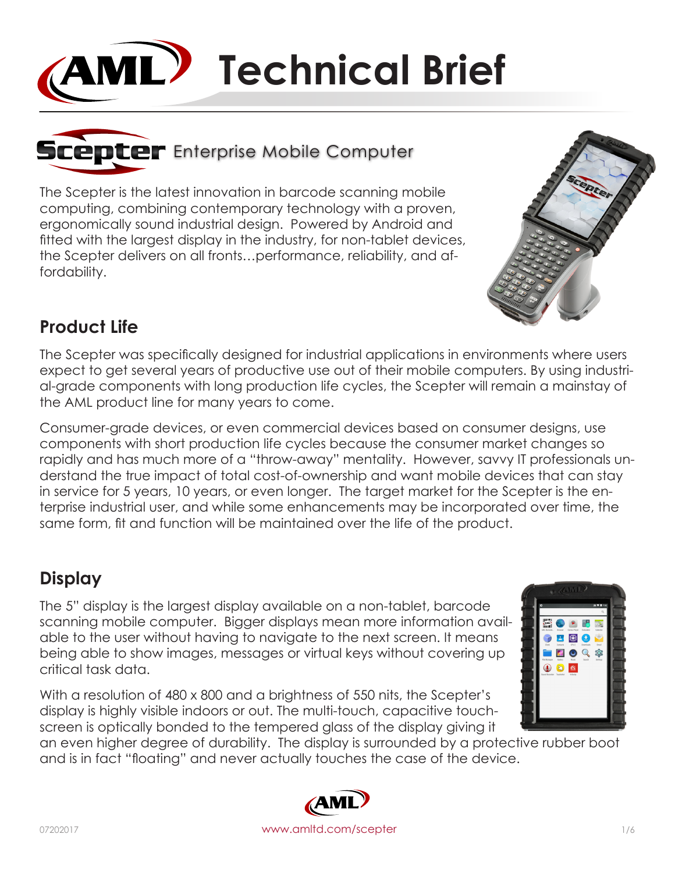# **AML** Technical Brief



The Scepter is the latest innovation in barcode scanning mobile computing, combining contemporary technology with a proven, ergonomically sound industrial design. Powered by Android and fitted with the largest display in the industry, for non-tablet devices, the Scepter delivers on all fronts…performance, reliability, and affordability.



## **Product Life**

The Scepter was specifically designed for industrial applications in environments where users expect to get several years of productive use out of their mobile computers. By using industrial-grade components with long production life cycles, the Scepter will remain a mainstay of the AML product line for many years to come.

Consumer-grade devices, or even commercial devices based on consumer designs, use components with short production life cycles because the consumer market changes so rapidly and has much more of a "throw-away" mentality. However, savvy IT professionals understand the true impact of total cost-of-ownership and want mobile devices that can stay in service for 5 years, 10 years, or even longer. The target market for the Scepter is the enterprise industrial user, and while some enhancements may be incorporated over time, the same form, fit and function will be maintained over the life of the product.

# **Display**

The 5" display is the largest display available on a non-tablet, barcode scanning mobile computer. Bigger displays mean more information available to the user without having to navigate to the next screen. It means being able to show images, messages or virtual keys without covering up critical task data.

With a resolution of 480 x 800 and a brightness of 550 nits, the Scepter's display is highly visible indoors or out. The multi-touch, capacitive touchscreen is optically bonded to the tempered glass of the display giving it



an even higher degree of durability. The display is surrounded by a protective rubber boot and is in fact "floating" and never actually touches the case of the device.

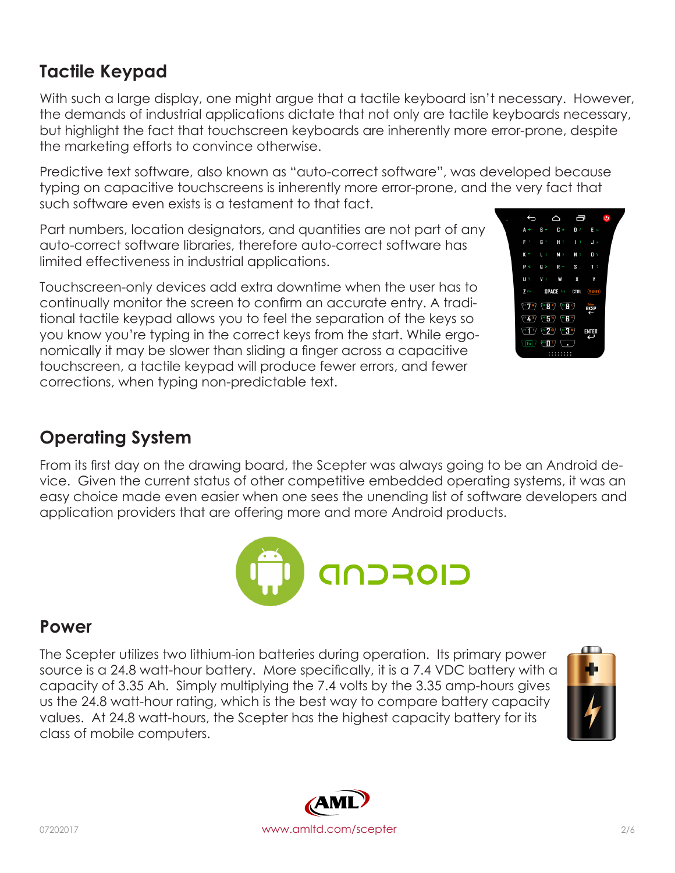**CIOFCND Power**

The Scepter utilizes two lithium-ion batteries during operation. Its primary power source is a 24.8 watt-hour battery. More specifically, it is a 7.4 VDC battery with a capacity of 3.35 Ah. Simply multiplying the 7.4 volts by the 3.35 amp-hours gives us the 24.8 watt-hour rating, which is the best way to compare battery capacity values. At 24.8 watt-hours, the Scepter has the highest capacity battery for its class of mobile computers.

**Tactile Keypad** With such a large display, one might argue that a tactile keyboard isn't necessary. However,

the demands of industrial applications dictate that not only are tactile keyboards necessary, but highlight the fact that touchscreen keyboards are inherently more error-prone, despite the marketing efforts to convince otherwise.

Predictive text software, also known as "auto-correct software", was developed because typing on capacitive touchscreens is inherently more error-prone, and the very fact that such software even exists is a testament to that fact.

Part numbers, location designators, and quantities are not part of any auto-correct software libraries, therefore auto-correct software has limited effectiveness in industrial applications.

Touchscreen-only devices add extra downtime when the user has to continually monitor the screen to confirm an accurate entry. A traditional tactile keypad allows you to feel the separation of the keys so you know you're typing in the correct keys from the start. While ergonomically it may be slower than sliding a finger across a capacitive touchscreen, a tactile keypad will produce fewer errors, and fewer corrections, when typing non-predictable text.

# **Operating System**

From its first day on the drawing board, the Scepter was always going to be an Android device. Given the current status of other competitive embedded operating systems, it was an easy choice made even easier when one sees the unending list of software developers and application providers that are offering more and more Android products.





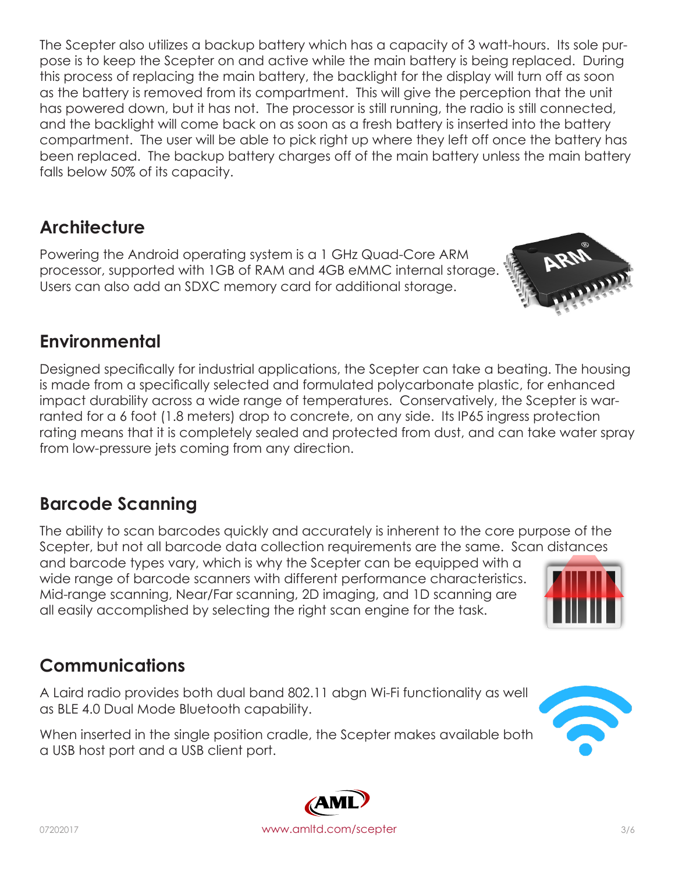The Scepter also utilizes a backup battery which has a capacity of 3 watt-hours. Its sole purpose is to keep the Scepter on and active while the main battery is being replaced. During this process of replacing the main battery, the backlight for the display will turn off as soon as the battery is removed from its compartment. This will give the perception that the unit has powered down, but it has not. The processor is still running, the radio is still connected, and the backlight will come back on as soon as a fresh battery is inserted into the battery compartment. The user will be able to pick right up where they left off once the battery has been replaced. The backup battery charges off of the main battery unless the main battery falls below 50% of its capacity.

# **Architecture**

Powering the Android operating system is a 1 GHz Quad-Core ARM processor, supported with 1GB of RAM and 4GB eMMC internal storage. Users can also add an SDXC memory card for additional storage.

# **Environmental**

Designed specifically for industrial applications, the Scepter can take a beating. The housing is made from a specifically selected and formulated polycarbonate plastic, for enhanced impact durability across a wide range of temperatures. Conservatively, the Scepter is warranted for a 6 foot (1.8 meters) drop to concrete, on any side. Its IP65 ingress protection rating means that it is completely sealed and protected from dust, and can take water spray from low-pressure jets coming from any direction.

# **Barcode Scanning**

The ability to scan barcodes quickly and accurately is inherent to the core purpose of the Scepter, but not all barcode data collection requirements are the same. Scan distances

and barcode types vary, which is why the Scepter can be equipped with a wide range of barcode scanners with different performance characteristics. Mid-range scanning, Near/Far scanning, 2D imaging, and 1D scanning are all easily accomplished by selecting the right scan engine for the task.

# **Communications**

A Laird radio provides both dual band 802.11 abgn Wi-Fi functionality as well as BLE 4.0 Dual Mode Bluetooth capability.

When inserted in the single position cradle, the Scepter makes available both a USB host port and a USB client port.









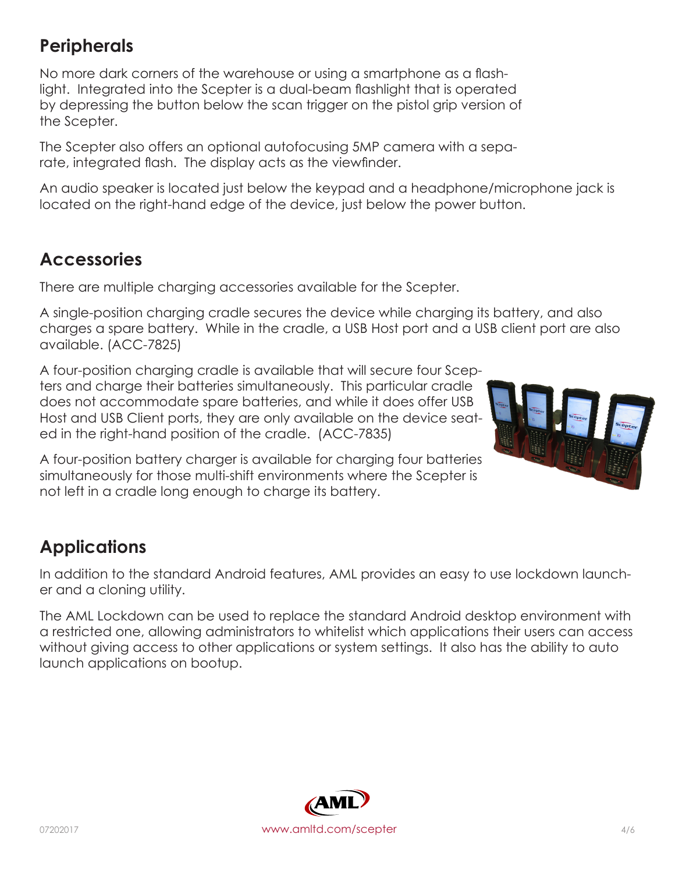### **Peripherals**

No more dark corners of the warehouse or using a smartphone as a flashlight. Integrated into the Scepter is a dual-beam flashlight that is operated by depressing the button below the scan trigger on the pistol grip version of the Scepter.

The Scepter also offers an optional autofocusing 5MP camera with a separate, integrated flash. The display acts as the viewfinder.

An audio speaker is located just below the keypad and a headphone/microphone jack is located on the right-hand edge of the device, just below the power button.

#### **Accessories**

There are multiple charging accessories available for the Scepter.

A single-position charging cradle secures the device while charging its battery, and also charges a spare battery. While in the cradle, a USB Host port and a USB client port are also available. (ACC-7825)

A four-position charging cradle is available that will secure four Scepters and charge their batteries simultaneously. This particular cradle does not accommodate spare batteries, and while it does offer USB Host and USB Client ports, they are only available on the device seated in the right-hand position of the cradle. (ACC-7835)



A four-position battery charger is available for charging four batteries simultaneously for those multi-shift environments where the Scepter is not left in a cradle long enough to charge its battery.

# **Applications**

In addition to the standard Android features, AML provides an easy to use lockdown launcher and a cloning utility.

The AML Lockdown can be used to replace the standard Android desktop environment with a restricted one, allowing administrators to whitelist which applications their users can access without giving access to other applications or system settings. It also has the ability to auto launch applications on bootup.

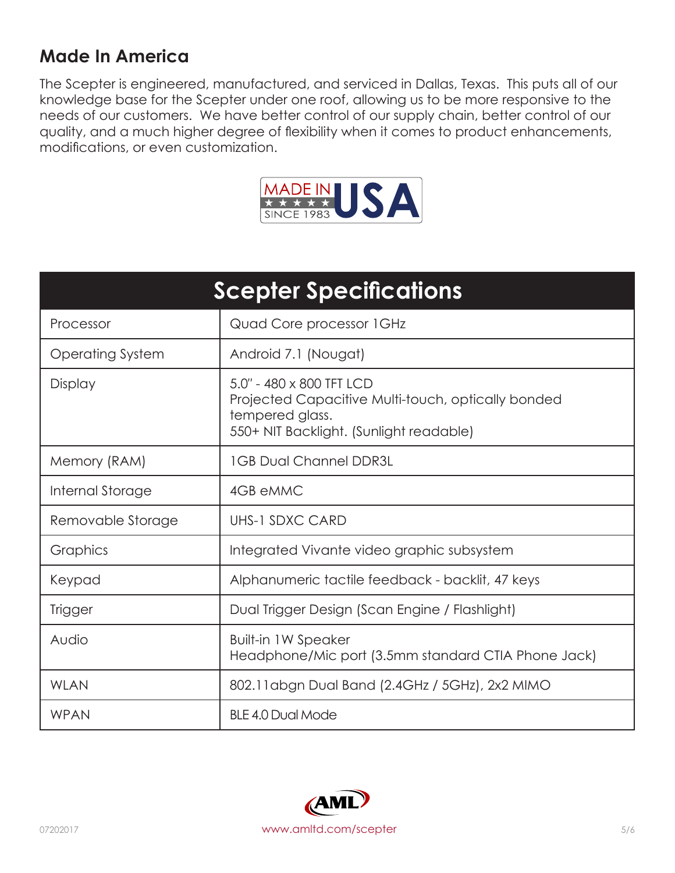#### **Made In America**

The Scepter is engineered, manufactured, and serviced in Dallas, Texas. This puts all of our knowledge base for the Scepter under one roof, allowing us to be more responsive to the needs of our customers. We have better control of our supply chain, better control of our quality, and a much higher degree of flexibility when it comes to product enhancements, modifications, or even customization.



| <b>Scepter Specifications</b> |                                                                                                                                              |
|-------------------------------|----------------------------------------------------------------------------------------------------------------------------------------------|
| Processor                     | Quad Core processor 1 GHz                                                                                                                    |
| Operating System              | Android 7.1 (Nougat)                                                                                                                         |
| Display                       | 5.0" - 480 x 800 TFT LCD<br>Projected Capacitive Multi-touch, optically bonded<br>tempered glass.<br>550+ NIT Backlight. (Sunlight readable) |
| Memory (RAM)                  | <b>1GB Dual Channel DDR3L</b>                                                                                                                |
| Internal Storage              | 4GB eMMC                                                                                                                                     |
| Removable Storage             | <b>UHS-1 SDXC CARD</b>                                                                                                                       |
| Graphics                      | Integrated Vivante video graphic subsystem                                                                                                   |
| Keypad                        | Alphanumeric tactile feedback - backlit, 47 keys                                                                                             |
| <b>Trigger</b>                | Dual Trigger Design (Scan Engine / Flashlight)                                                                                               |
| Audio                         | <b>Built-in 1W Speaker</b><br>Headphone/Mic port (3.5mm standard CTIA Phone Jack)                                                            |
| <b>WLAN</b>                   | 802.11 abgn Dual Band (2.4 GHz / 5 GHz), 2x2 MIMO                                                                                            |
| <b>WPAN</b>                   | <b>BLE 4.0 Dual Mode</b>                                                                                                                     |